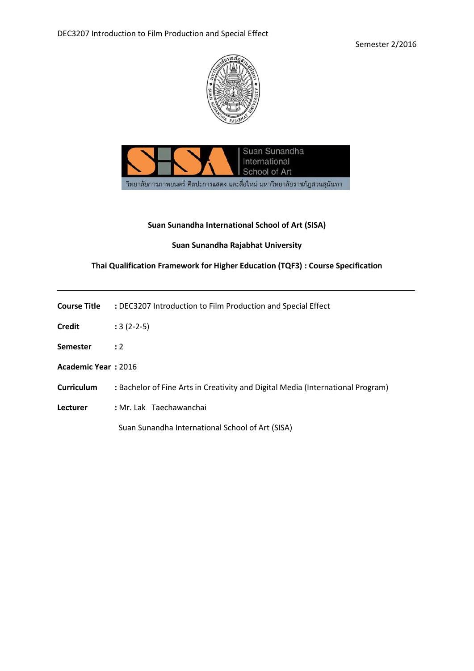



# **Suan Sunandha International School of Art (SISA)**

# **Suan Sunandha Rajabhat University**

# **Thai Qualification Framework for Higher Education (TQF3) : Course Specification**

| <b>Course Title</b> | : DEC3207 Introduction to Film Production and Special Effect |
|---------------------|--------------------------------------------------------------|
|                     |                                                              |

- **Credit :** 3 (2-2-5)
- **Semester :** 2
- **Academic Year :** 2016
- **Curriculum :** Bachelor of Fine Arts in Creativity and Digital Media (International Program)
- **Lecturer :** Mr. Lak Taechawanchai

Suan Sunandha International School of Art (SISA)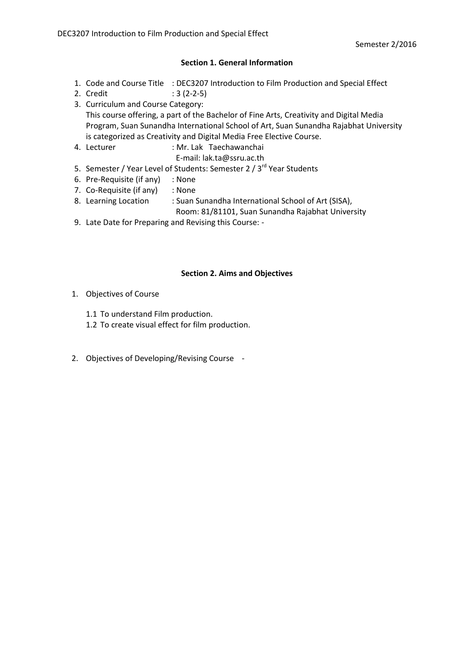# **Section 1. General Information**

- 1. Code and Course Title : DEC3207 Introduction to Film Production and Special Effect
- 2. Credit : 3 (2-2-5)
- 3. Curriculum and Course Category: This course offering, a part of the Bachelor of Fine Arts, Creativity and Digital Media Program, Suan Sunandha International School of Art, Suan Sunandha Rajabhat University is categorized as Creativity and Digital Media Free Elective Course.
- 4. Lecturer : Mr. Lak Taechawanchai
	- E-mail: lak.ta@ssru.ac.th
- 5. Semester / Year Level of Students: Semester 2 / 3<sup>rd</sup> Year Students
- 6. Pre-Requisite (if any) : None
- 7. Co-Requisite (if any) : None
- 8. Learning Location : Suan Sunandha International School of Art (SISA),
	- Room: 81/81101, Suan Sunandha Rajabhat University
- 9. Late Date for Preparing and Revising this Course: -

# **Section 2. Aims and Objectives**

- 1. Objectives of Course
	- 1.1 To understand Film production.
	- 1.2 To create visual effect for film production.
- 2. Objectives of Developing/Revising Course -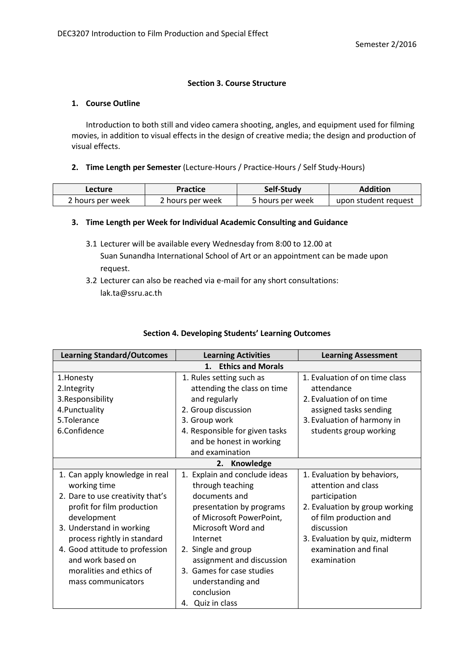# **Section 3. Course Structure**

### **1. Course Outline**

Introduction to both still and video camera shooting, angles, and equipment used for filming movies, in addition to visual effects in the design of creative media; the design and production of visual effects.

### **2. Time Length per Semester** (Lecture-Hours / Practice-Hours / Self Study-Hours)

| Lecture          | Practice         | Self-Study       | Addition             |
|------------------|------------------|------------------|----------------------|
| 2 hours per week | 2 hours per week | 5 hours per week | upon student request |

# **3. Time Length per Week for Individual Academic Consulting and Guidance**

- 3.1 Lecturer will be available every Wednesday from 8:00 to 12.00 at Suan Sunandha International School of Art or an appointment can be made upon request.
- 3.2 Lecturer can also be reached via e-mail for any short consultations: lak.ta@ssru.ac.th

# **Section 4. Developing Students' Learning Outcomes**

| <b>Learning Standard/Outcomes</b> | <b>Learning Activities</b>     | <b>Learning Assessment</b>     |  |  |
|-----------------------------------|--------------------------------|--------------------------------|--|--|
| <b>Ethics and Morals</b><br>1.    |                                |                                |  |  |
| 1.Honesty                         | 1. Rules setting such as       | 1. Evaluation of on time class |  |  |
| 2.Integrity                       | attending the class on time    | attendance                     |  |  |
| 3.Responsibility                  | and regularly                  | 2. Evaluation of on time       |  |  |
| 4. Punctuality                    | 2. Group discussion            | assigned tasks sending         |  |  |
| 5.Tolerance                       | 3. Group work                  | 3. Evaluation of harmony in    |  |  |
| 6.Confidence                      | 4. Responsible for given tasks | students group working         |  |  |
|                                   | and be honest in working       |                                |  |  |
|                                   | and examination                |                                |  |  |
|                                   | 2. Knowledge                   |                                |  |  |
| 1. Can apply knowledge in real    | 1. Explain and conclude ideas  | 1. Evaluation by behaviors,    |  |  |
| working time                      | through teaching               | attention and class            |  |  |
| 2. Dare to use creativity that's  | documents and                  | participation                  |  |  |
| profit for film production        | presentation by programs       | 2. Evaluation by group working |  |  |
| development                       | of Microsoft PowerPoint,       | of film production and         |  |  |
| 3. Understand in working          | Microsoft Word and             | discussion                     |  |  |
| process rightly in standard       | Internet                       | 3. Evaluation by quiz, midterm |  |  |
| 4. Good attitude to profession    | 2. Single and group            | examination and final          |  |  |
| and work based on                 | assignment and discussion      | examination                    |  |  |
| moralities and ethics of          | 3. Games for case studies      |                                |  |  |
| mass communicators                | understanding and              |                                |  |  |
|                                   | conclusion                     |                                |  |  |
|                                   | 4. Quiz in class               |                                |  |  |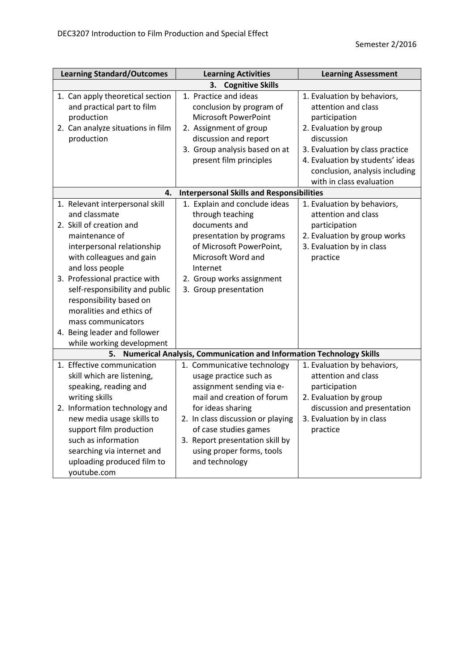| <b>Learning Standard/Outcomes</b>                                                                                                                                                                                                                                                                                                                                                        | <b>Learning Activities</b>                                                                                                                                                                                                                                                            | <b>Learning Assessment</b>                                                                                                                                                                                                                       |  |  |  |
|------------------------------------------------------------------------------------------------------------------------------------------------------------------------------------------------------------------------------------------------------------------------------------------------------------------------------------------------------------------------------------------|---------------------------------------------------------------------------------------------------------------------------------------------------------------------------------------------------------------------------------------------------------------------------------------|--------------------------------------------------------------------------------------------------------------------------------------------------------------------------------------------------------------------------------------------------|--|--|--|
| <b>Cognitive Skills</b><br>3.                                                                                                                                                                                                                                                                                                                                                            |                                                                                                                                                                                                                                                                                       |                                                                                                                                                                                                                                                  |  |  |  |
| 1. Can apply theoretical section<br>and practical part to film<br>production<br>2. Can analyze situations in film<br>production                                                                                                                                                                                                                                                          | 1. Practice and ideas<br>conclusion by program of<br>Microsoft PowerPoint<br>2. Assignment of group<br>discussion and report<br>3. Group analysis based on at<br>present film principles                                                                                              | 1. Evaluation by behaviors,<br>attention and class<br>participation<br>2. Evaluation by group<br>discussion<br>3. Evaluation by class practice<br>4. Evaluation by students' ideas<br>conclusion, analysis including<br>with in class evaluation |  |  |  |
| 4.                                                                                                                                                                                                                                                                                                                                                                                       | <b>Interpersonal Skills and Responsibilities</b>                                                                                                                                                                                                                                      |                                                                                                                                                                                                                                                  |  |  |  |
| 1. Relevant interpersonal skill<br>and classmate<br>2. Skill of creation and<br>maintenance of<br>interpersonal relationship<br>with colleagues and gain<br>and loss people<br>3. Professional practice with<br>self-responsibility and public<br>responsibility based on<br>moralities and ethics of<br>mass communicators<br>4. Being leader and follower<br>while working development | 1. Explain and conclude ideas<br>through teaching<br>documents and<br>presentation by programs<br>of Microsoft PowerPoint,<br>Microsoft Word and<br>Internet<br>2. Group works assignment<br>3. Group presentation                                                                    | 1. Evaluation by behaviors,<br>attention and class<br>participation<br>2. Evaluation by group works<br>3. Evaluation by in class<br>practice                                                                                                     |  |  |  |
| 5.                                                                                                                                                                                                                                                                                                                                                                                       | <b>Numerical Analysis, Communication and Information Technology Skills</b>                                                                                                                                                                                                            |                                                                                                                                                                                                                                                  |  |  |  |
| 1. Effective communication<br>skill which are listening,<br>speaking, reading and<br>writing skills<br>2. Information technology and<br>new media usage skills to<br>support film production<br>such as information<br>searching via internet and<br>uploading produced film to<br>youtube.com                                                                                           | 1. Communicative technology<br>usage practice such as<br>assignment sending via e-<br>mail and creation of forum<br>for ideas sharing<br>2. In class discussion or playing<br>of case studies games<br>3. Report presentation skill by<br>using proper forms, tools<br>and technology | 1. Evaluation by behaviors,<br>attention and class<br>participation<br>2. Evaluation by group<br>discussion and presentation<br>3. Evaluation by in class<br>practice                                                                            |  |  |  |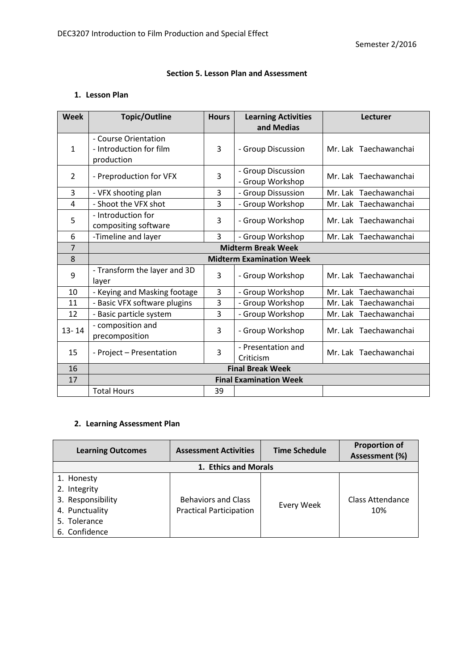# **Section 5. Lesson Plan and Assessment**

# **1. Lesson Plan**

| <b>Week</b>    | <b>Topic/Outline</b>                                          | <b>Hours</b>   | <b>Learning Activities</b><br>and Medias | <b>Lecturer</b>       |
|----------------|---------------------------------------------------------------|----------------|------------------------------------------|-----------------------|
| 1              | - Course Orientation<br>- Introduction for film<br>production | 3              | - Group Discussion                       | Mr. Lak Taechawanchai |
| $\overline{2}$ | - Preproduction for VFX                                       | 3              | - Group Discussion<br>- Group Workshop   | Mr. Lak Taechawanchai |
| 3              | - VFX shooting plan                                           | 3              | - Group Dissussion                       | Mr. Lak Taechawanchai |
| 4              | - Shoot the VFX shot                                          | 3              | - Group Workshop                         | Mr. Lak Taechawanchai |
| 5              | - Introduction for<br>compositing software                    | 3              | - Group Workshop                         | Mr. Lak Taechawanchai |
| 6              | -Timeline and layer                                           | $\overline{3}$ | - Group Workshop                         | Mr. Lak Taechawanchai |
| $\overline{7}$ | <b>Midterm Break Week</b>                                     |                |                                          |                       |
| 8              |                                                               |                | <b>Midterm Examination Week</b>          |                       |
| 9              | - Transform the layer and 3D<br>layer                         | 3              | - Group Workshop                         | Mr. Lak Taechawanchai |
| 10             | - Keying and Masking footage                                  | 3              | - Group Workshop                         | Mr. Lak Taechawanchai |
| 11             | - Basic VFX software plugins                                  | 3              | - Group Workshop                         | Mr. Lak Taechawanchai |
| 12             | - Basic particle system                                       | 3              | - Group Workshop                         | Mr. Lak Taechawanchai |
| $13 - 14$      | - composition and<br>precomposition                           | 3              | - Group Workshop                         | Mr. Lak Taechawanchai |
| 15             | - Project - Presentation                                      | 3              | - Presentation and<br>Criticism          | Mr. Lak Taechawanchai |
| 16             | <b>Final Break Week</b>                                       |                |                                          |                       |
| 17             | <b>Final Examination Week</b>                                 |                |                                          |                       |
|                | <b>Total Hours</b>                                            | 39             |                                          |                       |

# **2. Learning Assessment Plan**

| <b>Learning Outcomes</b>                                                                           | <b>Assessment Activities</b>                                 | <b>Time Schedule</b> | <b>Proportion of</b><br>Assessment (%) |  |  |
|----------------------------------------------------------------------------------------------------|--------------------------------------------------------------|----------------------|----------------------------------------|--|--|
| 1. Ethics and Morals                                                                               |                                                              |                      |                                        |  |  |
| 1. Honesty<br>2. Integrity<br>3. Responsibility<br>4. Punctuality<br>5. Tolerance<br>6. Confidence | <b>Behaviors and Class</b><br><b>Practical Participation</b> | Every Week           | Class Attendance<br>10%                |  |  |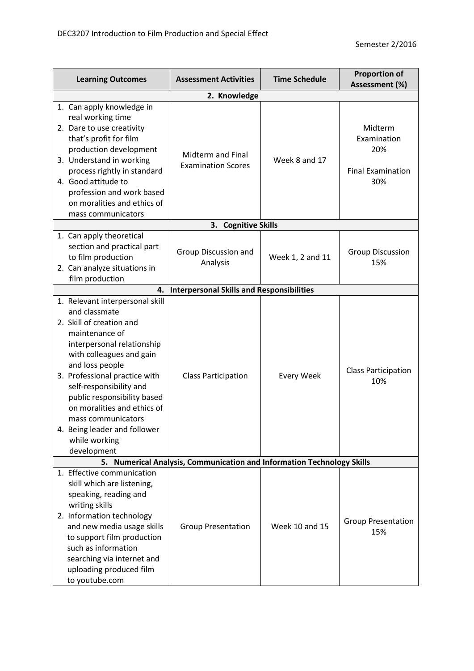| <b>Learning Outcomes</b>                                                                                                                                                                                                                                                                                                                                                                    |                                                                        | <b>Assessment Activities</b>                     | <b>Time Schedule</b> | <b>Proportion of</b><br>Assessment (%)                           |  |  |
|---------------------------------------------------------------------------------------------------------------------------------------------------------------------------------------------------------------------------------------------------------------------------------------------------------------------------------------------------------------------------------------------|------------------------------------------------------------------------|--------------------------------------------------|----------------------|------------------------------------------------------------------|--|--|
| 2. Knowledge                                                                                                                                                                                                                                                                                                                                                                                |                                                                        |                                                  |                      |                                                                  |  |  |
| 1. Can apply knowledge in<br>real working time<br>2. Dare to use creativity<br>that's profit for film<br>production development<br>3. Understand in working<br>process rightly in standard<br>4. Good attitude to<br>profession and work based<br>on moralities and ethics of<br>mass communicators                                                                                         |                                                                        | Midterm and Final<br><b>Examination Scores</b>   | Week 8 and 17        | Midterm<br>Examination<br>20%<br><b>Final Examination</b><br>30% |  |  |
|                                                                                                                                                                                                                                                                                                                                                                                             |                                                                        | <b>Cognitive Skills</b><br>3.                    |                      |                                                                  |  |  |
| 1. Can apply theoretical<br>section and practical part<br>to film production<br>2. Can analyze situations in<br>film production                                                                                                                                                                                                                                                             |                                                                        | Group Discussion and<br>Analysis                 | Week 1, 2 and 11     | <b>Group Discussion</b><br>15%                                   |  |  |
|                                                                                                                                                                                                                                                                                                                                                                                             | 4.                                                                     | <b>Interpersonal Skills and Responsibilities</b> |                      |                                                                  |  |  |
| 1. Relevant interpersonal skill<br>and classmate<br>2. Skill of creation and<br>maintenance of<br>interpersonal relationship<br>with colleagues and gain<br>and loss people<br>3. Professional practice with<br>self-responsibility and<br>public responsibility based<br>on moralities and ethics of<br>mass communicators<br>4. Being leader and follower<br>while working<br>development |                                                                        | <b>Class Participation</b>                       | <b>Every Week</b>    | <b>Class Participation</b><br>10%                                |  |  |
|                                                                                                                                                                                                                                                                                                                                                                                             | 5. Numerical Analysis, Communication and Information Technology Skills |                                                  |                      |                                                                  |  |  |
| 1. Effective communication<br>skill which are listening,<br>speaking, reading and<br>writing skills<br>2. Information technology<br>and new media usage skills<br>to support film production<br>such as information<br>searching via internet and<br>uploading produced film<br>to youtube.com                                                                                              |                                                                        | <b>Group Presentation</b>                        | Week 10 and 15       | <b>Group Presentation</b><br>15%                                 |  |  |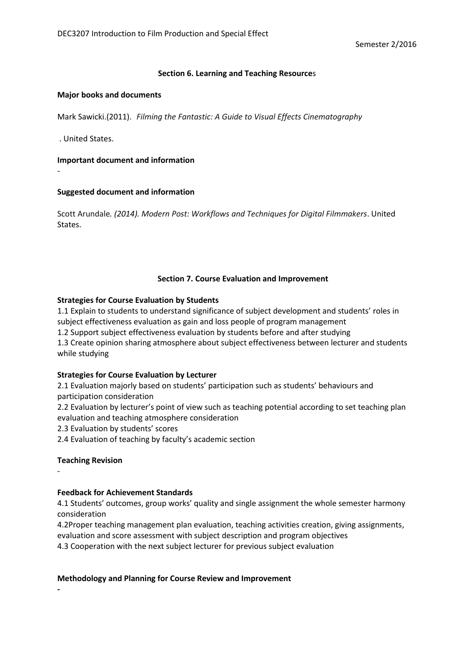### **Section 6. Learning and Teaching Resource**s

#### **Major books and documents**

Mark Sawicki.(2011). *Filming the Fantastic: A Guide to Visual Effects Cinematography*

. United States.

-

#### **Important document and information**

#### **Suggested document and information**

Scott Arundale*. (2014). Modern Post: Workflows and Techniques for Digital Filmmakers*. United States.

#### **Section 7. Course Evaluation and Improvement**

#### **Strategies for Course Evaluation by Students**

1.1 Explain to students to understand significance of subject development and students' roles in subject effectiveness evaluation as gain and loss people of program management 1.2 Support subject effectiveness evaluation by students before and after studying 1.3 Create opinion sharing atmosphere about subject effectiveness between lecturer and students while studying

### **Strategies for Course Evaluation by Lecturer**

2.1 Evaluation majorly based on students' participation such as students' behaviours and participation consideration

2.2 Evaluation by lecturer's point of view such as teaching potential according to set teaching plan evaluation and teaching atmosphere consideration

2.3 Evaluation by students' scores

2.4 Evaluation of teaching by faculty's academic section

### **Teaching Revision**

-

**-**

# **Feedback for Achievement Standards**

4.1 Students' outcomes, group works' quality and single assignment the whole semester harmony consideration

4.2Proper teaching management plan evaluation, teaching activities creation, giving assignments, evaluation and score assessment with subject description and program objectives

4.3 Cooperation with the next subject lecturer for previous subject evaluation

#### **Methodology and Planning for Course Review and Improvement**